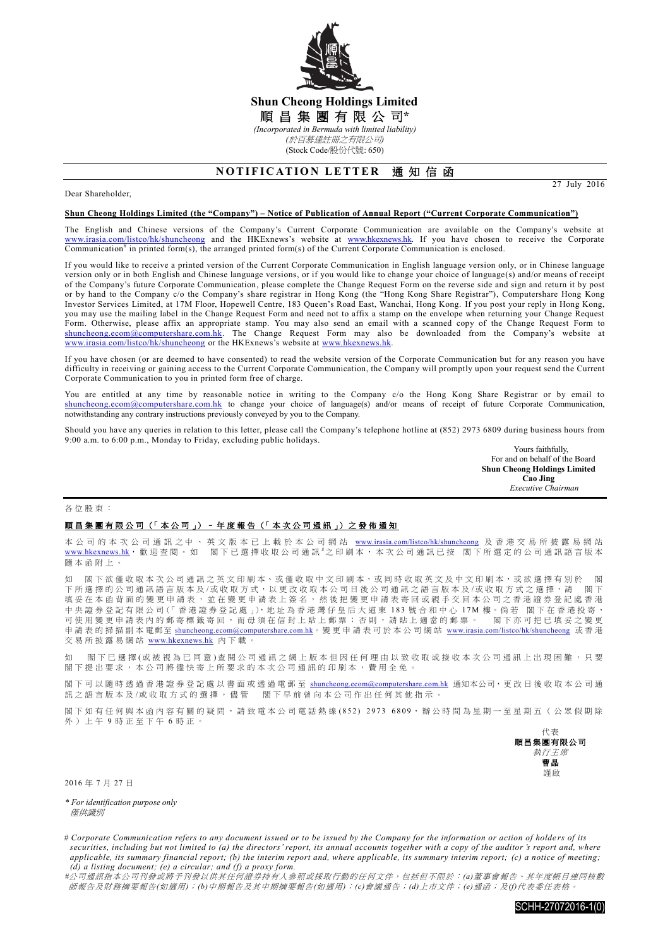

## **Shun Cheong Holdings Limited** 順 昌 集 團 有 限 公 司**\*** *(Incorporated in Bermuda with limited liability) (*於百慕達註冊之有限公司*)*

(Stock Code/股份代號: 650)

# **NOTIFICATION LETTER 通知信函**

#### Dear Shareholder,

27 July 2016

#### **Shun Cheong Holdings Limited (the "Company") – Notice of Publication of Annual Report ("Current Corporate Communication")**

The English and Chinese versions of the Company's Current Corporate Communication are available on the Company's website at [www.irasia.com/listco/hk/shuncheong](http://www.irasia.com/listco/hk/shuncheong) and the HKExnews's website at [www.hkexnews.hk.](http://www.hkexnews.hk/) If you have chosen to receive the Corporate Communication<sup>#</sup> in printed form(s), the arranged printed form(s) of the Current Corporate Communication is enclosed.

If you would like to receive a printed version of the Current Corporate Communication in English language version only, or in Chinese language version only or in both English and Chinese language versions, or if you would like to change your choice of language(s) and/or means of receipt of the Company's future Corporate Communication, please complete the Change Request Form on the reverse side and sign and return it by post or by hand to the Company c/o the Company's share registrar in Hong Kong (the "Hong Kong Share Registrar"), Computershare Hong Kong Investor Services Limited, at 17M Floor, Hopewell Centre, 183 Queen's Road East, Wanchai, Hong Kong. If you post your reply in Hong Kong, you may use the mailing label in the Change Request Form and need not to affix a stamp on the envelope when returning your Change Request Form. Otherwise, please affix an appropriate stamp. You may also send an email with a scanned copy of the Change Request Form to [shuncheong.ecom@computershare.com.hk.](mailto:shuncheong.ecom@computershare.com.hk) The Change Request Form may also be downloaded from the Company's website at [www.irasia.com/listco/hk/shuncheong](http://www.irasia.com/listco/hk/shuncheong) or the HKExnews's website at www.hkexnews.hk.

If you have chosen (or are deemed to have consented) to read the website version of the Corporate Communication but for any reason you have difficulty in receiving or gaining access to the Current Corporate Communication, the Company will promptly upon your request send the Current Corporate Communication to you in printed form free of charge.

You are entitled at any time by reasonable notice in writing to the Company c/o the Hong Kong Share Registrar or by email to [shuncheong.ecom@computershare.com.hk](mailto:shuncheong.ecom@computershare.com.hk) to change your choice of language(s) and/or means of receipt of future Corporate Communication, notwithstanding any contrary instructions previously conveyed by you to the Company.

Should you have any queries in relation to this letter, please call the Company's telephone hotline at (852) 2973 6809 during business hours from 9:00 a.m. to 6:00 p.m., Monday to Friday, excluding public holidays.

Yours faithfully, For and on behalf of the Board **Shun Cheong Holdings Limited Cao Jing**  *Executive Chairman*

#### 各位股東 :

### 順昌集團有限公司 (「本公司」) – [年度報告](http://www.hkexnews.hk/listedco/listconews/SEHK/2013/0730/LTN20130730693_C.pdf) (「本次公司通訊」) 之 發 佈 通 知

本 公 司 的 本 次 公 司 通 訊 之 中 、 英 文 版 本 已 上 載 於 本 公 司 網 站 [www.irasia.com/listco/hk/shuncheong](http://www.irasia.com/listco/hk/shuncheong) 及 香 港 交 易 所 披 露 易 網 站 [www.hkexnews.hk](http://www.hkexnews.hk/), 歡迎查閱。如 閣下已選擇收取公司通訊#之印刷本,本次公司通訊已按 閣下所選定的公司通訊語言版本 隨本函附上 。

如 閣下欲 僅 收 取 本 次 公司通訊之 英 文 印刷本、或僅收取中文印刷本,或同時收取英文及中文印刷本,或欲選擇有別於 閣 下所選擇的公司通訊語言版本及/或收取方式,以更改收取本公司日後公司通訊之語言版本及/或收取方式之選擇,請 閣下 填妥在本函背面的變更申請表,並在變更申請表上簽名,然後把變更申請表寄回或親手交回本公司之香港證券登記處香港 中 央 證 券 登 記 有 限 公 司(「 香 港 證 券 登 記 處 」),地 址 為 香 港 灣 仔 皇 后 大 道 東 1 8 3 號合和中心 17M 樓。倘 若 閣 下 在 香 港 投 寄 , 可使用變更申請表內的郵寄標籤寄回,而毋須在信封上貼上郵票;否則,請貼上適當的郵票。 閣下亦可把已填妥之變更 申請表的掃描副本電郵至 [shuncheong.ecom@computershare.com.hk](mailto:shuncheong.ecom@computershare.com.hk)。變更申請表可於本公司網站 [www.irasia.com/listco/hk/shuncheong](http://www.irasia.com/listco/hk/shuncheong) 或香港 交易所披露易網站 [www.hkexnews.hk](http://www.hkexnews.hk/) 內下載。

如 閣下已 選 擇 (或 被 視 為 已 同 意 ) 查 閱 公 司 通 訊 之 網 上 版 本 但 因 任 何 理 由 以 致 收 取 或 接 收 本 次 公 司 通 訊 上 出 現 困 難 ,只 要 閣下提出要求,本公司將儘快寄上所要求的本次公司通訊的印刷本,費用全免

閣下可以隨時透過香港證券登記處以書面或透過電郵至 [shuncheong.ecom@computershare.com.hk](mailto:shuncheong.ecom@computershare.com.hk) 通知本公司,更改日後收取本公司通 訊之語言版本及/或收取方式的選擇, 儘管 閣下早前曾向本公司作出任何其他指示。

閣下如有任何與本函內容有關的疑問,請致電本公司電話熱線(852) 2973 6809,辦公時間為星期一至星期五(公眾假期除 外)上午 9 時正至下午 6 時正。



2016 年 7 月 27 日

*\* For identification purpose only* 僅供識別

# Corporate Communication refers to any document issued or to be issued by the Company for the information or action of holders of its *securities, including but not limited to (a) the directors' report, its annual accounts together with a copy of the auditor 's report and, where applicable, its summary financial report; (b) the interim report and, where applicable, its summary interim report; (c) a notice of meeting; (d) a listing document; (e) a circular; and (f) a proxy form.*

*#*公司通訊指本公司刊發或將予刊發以供其任何證券持有人參照或採取行動的任何文件,包括但不限於:*(a)*董事會報告、其年度帳目連同核數 師報告及財務摘要報告*(*如適用*)*;*(b)*中期報告及其中期摘要報告*(*如適用*)*;*(c)*會議通告;*(d)*上市文件;*(e)*通函;及*(f)*代表委任表格。